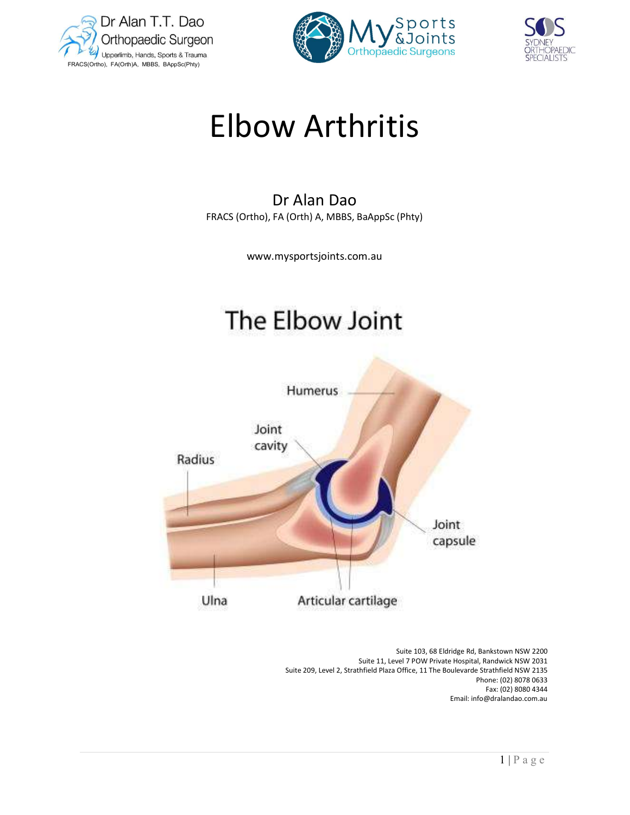





# Elbow Arthritis

## Dr Alan Dao FRACS (Ortho), FA (Orth) A, MBBS, BaAppSc (Phty)

www.mysportsjoints.com.au

## The Elbow Joint



1 | P a g e Suite 103, 68 Eldridge Rd, Bankstown NSW 2200 Suite 11, Level 7 POW Private Hospital, Randwick NSW 2031 Suite 209, Level 2, Strathfield Plaza Office, 11 The Boulevarde Strathfield NSW 2135 Phone: (02) 8078 0633 Fax: (02) 8080 4344 Email: info@dralandao.com.au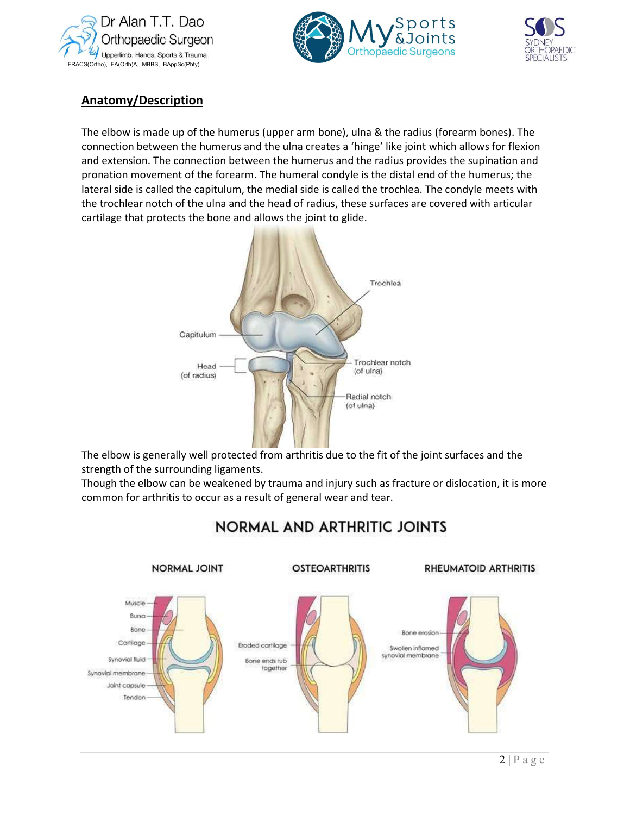





### Anatomy/Description

The elbow is made up of the humerus (upper arm bone), ulna & the radius (forearm bones). The connection between the humerus and the ulna creates a 'hinge' like joint which allows for flexion and extension. The connection between the humerus and the radius provides the supination and pronation movement of the forearm. The humeral condyle is the distal end of the humerus; the lateral side is called the capitulum, the medial side is called the trochlea. The condyle meets with the trochlear notch of the ulna and the head of radius, these surfaces are covered with articular cartilage that protects the bone and allows the joint to glide.



 The elbow is generally well protected from arthritis due to the fit of the joint surfaces and the strength of the surrounding ligaments.

Though the elbow can be weakened by trauma and injury such as fracture or dislocation, it is more common for arthritis to occur as a result of general wear and tear.



## **NORMAL AND ARTHRITIC JOINTS**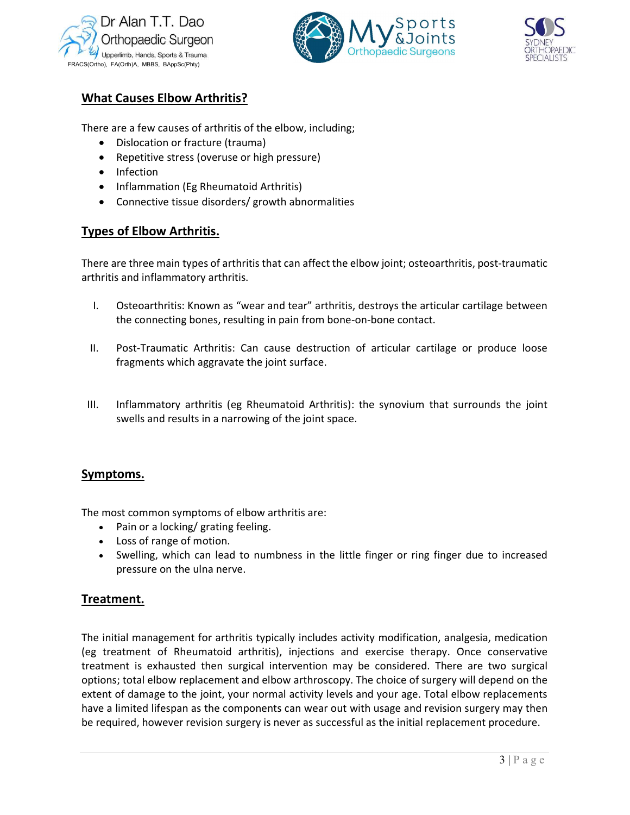





#### What Causes Elbow Arthritis?

There are a few causes of arthritis of the elbow, including;

- Dislocation or fracture (trauma)
- Repetitive stress (overuse or high pressure)
- Infection
- Inflammation (Eg Rheumatoid Arthritis)
- Connective tissue disorders/ growth abnormalities

#### Types of Elbow Arthritis.

There are three main types of arthritis that can affect the elbow joint; osteoarthritis, post-traumatic arthritis and inflammatory arthritis.

- I. Osteoarthritis: Known as "wear and tear" arthritis, destroys the articular cartilage between the connecting bones, resulting in pain from bone-on-bone contact.
- II. Post-Traumatic Arthritis: Can cause destruction of articular cartilage or produce loose fragments which aggravate the joint surface.
- III. Inflammatory arthritis (eg Rheumatoid Arthritis): the synovium that surrounds the joint swells and results in a narrowing of the joint space.

#### Symptoms.

The most common symptoms of elbow arthritis are:

- Pain or a locking/ grating feeling.
- Loss of range of motion.
- Swelling, which can lead to numbness in the little finger or ring finger due to increased pressure on the ulna nerve.

#### Treatment.

increased<br>
medication<br>
mservative<br>
vo surgical<br>
end on the<br>
lacements<br>
may then<br>
ocedure.<br>  $\overline{3 \mid P \text{ a g e}}$ The initial management for arthritis typically includes activity modification, analgesia, medication (eg treatment of Rheumatoid arthritis), injections and exercise therapy. Once conservative treatment is exhausted then surgical intervention may be considered. There are two surgical options; total elbow replacement and elbow arthroscopy. The choice of surgery will depend on the extent of damage to the joint, your normal activity levels and your age. Total elbow replacements have a limited lifespan as the components can wear out with usage and revision surgery may then be required, however revision surgery is never as successful as the initial replacement procedure.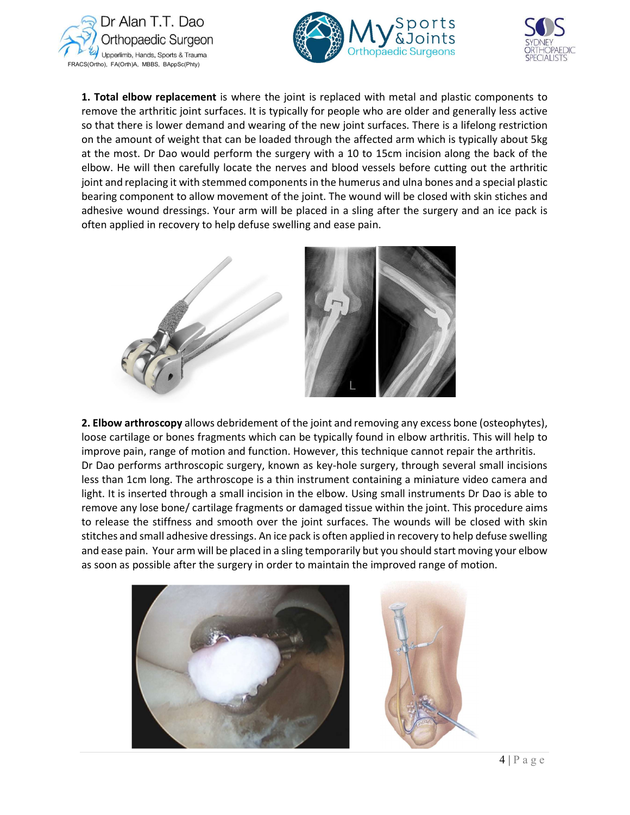





**1. Total elbow replacement** is where the joint is replaced with metal and plastic components to remove the arthritic joint surfaces. It is typically for people who are older and generally less active so that there is lower demand and wearing of the new joint surfaces. There is a lifelong restriction on the amount of weight that can be loaded through the affected arm which is typically about 5kg at the most. Dr Dao would perform the surgery with a 10 to 15cm incision along the back of the elbow. He will then carefully locate the nerves and blood vessels before cutting out the arthritic joint and replacing it with stemmed components in the humerus and ulna bones and a special plastic bearing component to allow movement of the joint. The wound will be closed with skin stiches and adhesive wound dressings. Your arm will be placed in a sling after the surgery and an ice pack is often applied in recovery to help defuse swelling and ease pain.



 $\frac{1}{2}$  is able to<br>edure aims<br>l with skin<br>ise swelling<br>our elbow 2. Elbow arthroscopy allows debridement of the joint and removing any excess bone (osteophytes), loose cartilage or bones fragments which can be typically found in elbow arthritis. This will help to improve pain, range of motion and function. However, this technique cannot repair the arthritis. Dr Dao performs arthroscopic surgery, known as key-hole surgery, through several small incisions less than 1cm long. The arthroscope is a thin instrument containing a miniature video camera and light. It is inserted through a small incision in the elbow. Using small instruments Dr Dao is able to remove any lose bone/ cartilage fragments or damaged tissue within the joint. This procedure aims to release the stiffness and smooth over the joint surfaces. The wounds will be closed with skin stitches and small adhesive dressings. An ice pack is often applied in recovery to help defuse swelling and ease pain. Your arm will be placed in a sling temporarily but you should start moving your elbow as soon as possible after the surgery in order to maintain the improved range of motion.